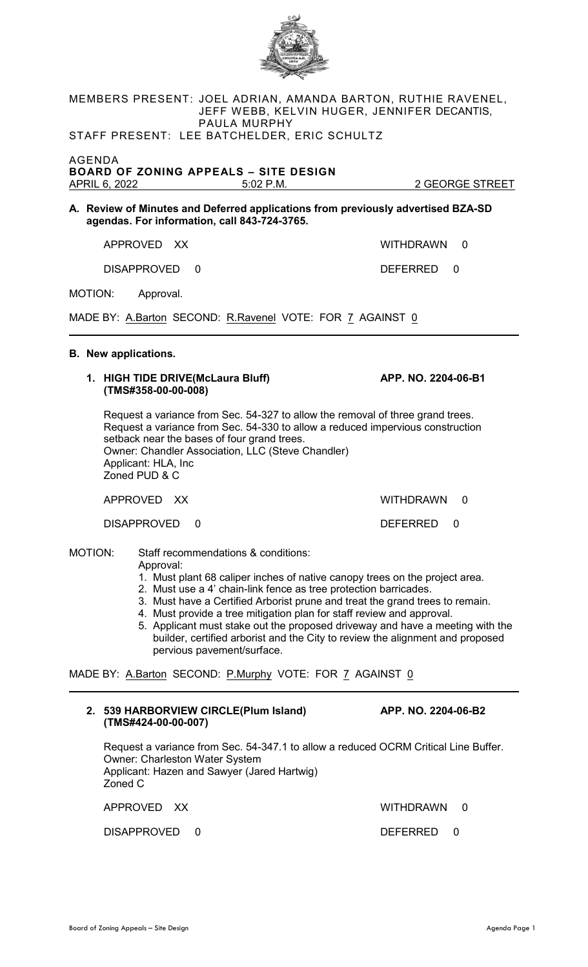

# MEMBERS PRESENT: JOEL ADRIAN, AMANDA BARTON, RUTHIE RAVENEL, JEFF WEBB, KELVIN HUGER, JENNIFER DECANTIS, PAULA MURPHY

STAFF PRESENT: LEE BATCHELDER, ERIC SCHULTZ

AGENDA **BOARD OF ZONING APPEALS – SITE DESIGN**

**A. Review of Minutes and Deferred applications from previously advertised BZA-SD agendas. For information, call 843-724-3765.**

APPROVED XX WITHDRAWN 0

DISAPPROVED 0 DEFERRED 0

MOTION: Approval.

MADE BY: A.Barton SECOND: R.Ravenel VOTE: FOR 7 AGAINST 0

## **B. New applications.**

#### **1. HIGH TIDE DRIVE(McLaura Bluff) APP. NO. 2204-06-B1 (TMS#358-00-00-008)**

Request a variance from Sec. 54-327 to allow the removal of three grand trees. Request a variance from Sec. 54-330 to allow a reduced impervious construction setback near the bases of four grand trees. Owner: Chandler Association, LLC (Steve Chandler) Applicant: HLA, Inc Zoned PUD & C

APPROVED XX WITHDRAWN 0

DISAPPROVED 0 DEFERRED 0

MOTION: Staff recommendations & conditions: Approval:

- 1. Must plant 68 caliper inches of native canopy trees on the project area.
- 2. Must use a 4' chain-link fence as tree protection barricades.
- 3. Must have a Certified Arborist prune and treat the grand trees to remain.
- 4. Must provide a tree mitigation plan for staff review and approval.
- 5. Applicant must stake out the proposed driveway and have a meeting with the builder, certified arborist and the City to review the alignment and proposed pervious pavement/surface.

MADE BY: A.Barton SECOND: P.Murphy VOTE: FOR 7 AGAINST 0

### **2. 539 HARBORVIEW CIRCLE(Plum Island) APP. NO. 2204-06-B2 (TMS#424-00-00-007)**

Request a variance from Sec. 54-347.1 to allow a reduced OCRM Critical Line Buffer. Owner: Charleston Water System Applicant: Hazen and Sawyer (Jared Hartwig) Zoned C

DISAPPROVED 0 DEFERRED 0

APPROVED XX WITHDRAWN 0

2 GEORGE STREET